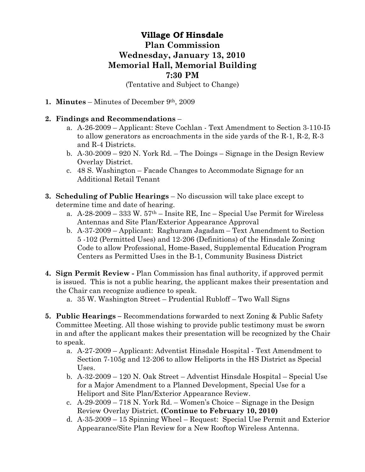## **Village Of Hinsdale Plan Commission Wednesday, January 13, 2010 Memorial Hall, Memorial Building 7:30 PM**  (Tentative and Subject to Change)

- **1. Minutes** Minutes of December 9th, 2009
- **2. Findings and Recommendations**
	- a. A-26-2009 Applicant: Steve Cochlan Text Amendment to Section 3-110-I5 to allow generators as encroachments in the side yards of the R-1, R-2, R-3 and R-4 Districts.
	- b. A-30-2009 920 N. York Rd. The Doings Signage in the Design Review Overlay District.
	- c. 48 S. Washington Facade Changes to Accommodate Signage for an Additional Retail Tenant
- **3. Scheduling of Public Hearings** No discussion will take place except to determine time and date of hearing.
	- a.  $A-28-2009-333$  W.  $57<sup>th</sup> -$  Insite RE, Inc Special Use Permit for Wireless Antennas and Site Plan/Exterior Appearance Approval
	- b. A-37-2009 Applicant: Raghuram Jagadam Text Amendment to Section 5 -102 (Permitted Uses) and 12-206 (Definitions) of the Hinsdale Zoning Code to allow Professional, Home-Based, Supplemental Education Program Centers as Permitted Uses in the B-1, Community Business District
- **4. Sign Permit Review** Plan Commission has final authority, if approved permit is issued. This is not a public hearing, the applicant makes their presentation and the Chair can recognize audience to speak.
	- a. 35 W. Washington Street Prudential Rubloff Two Wall Signs
- **5. Public Hearings** Recommendations forwarded to next Zoning & Public Safety Committee Meeting. All those wishing to provide public testimony must be sworn in and after the applicant makes their presentation will be recognized by the Chair to speak.
	- a. A-27-2009 Applicant: Adventist Hinsdale Hospital Text Amendment to Section 7-105g and 12-206 to allow Heliports in the HS District as Special Uses.
	- b. A-32-2009 120 N. Oak Street Adventist Hinsdale Hospital Special Use for a Major Amendment to a Planned Development, Special Use for a Heliport and Site Plan/Exterior Appearance Review.
	- c. A-29-2009 718 N. York Rd. Women's Choice Signage in the Design Review Overlay District. **(Continue to February 10, 2010)**
	- d. A-35-2009 15 Spinning Wheel Request: Special Use Permit and Exterior Appearance/Site Plan Review for a New Rooftop Wireless Antenna.